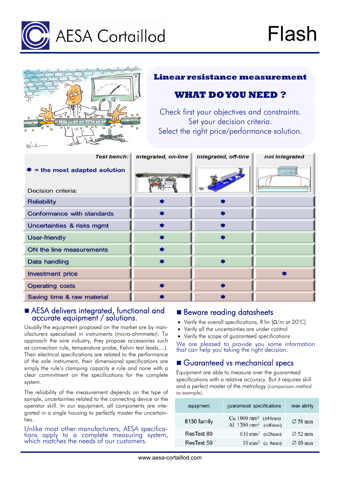

|                                                   | <b>Linear resistance measurement</b>                                                                                        |                      |                |  |  |
|---------------------------------------------------|-----------------------------------------------------------------------------------------------------------------------------|----------------------|----------------|--|--|
|                                                   | <b>WHAT DO YOU NEED ?</b>                                                                                                   |                      |                |  |  |
| - Good - dreef comed of                           | Check first your objectives and constraints.<br>Set your decision criteria.<br>Select the right price/performance solution. |                      |                |  |  |
| <b>Test bench:</b>                                | integrated, on-line                                                                                                         | integrated, off-line | not integrated |  |  |
| = the most adapted solution<br>Decision criteria: |                                                                                                                             |                      |                |  |  |
| <b>Reliability</b>                                |                                                                                                                             |                      |                |  |  |
| <b>Conformance with standards</b>                 |                                                                                                                             |                      |                |  |  |
| Uncertainties & risks mgmt                        |                                                                                                                             |                      |                |  |  |
| <b>User-friendly</b>                              |                                                                                                                             |                      |                |  |  |
| ON the line measurements                          |                                                                                                                             |                      |                |  |  |
| <b>Data handling</b>                              |                                                                                                                             |                      |                |  |  |
| <b>Investment price</b>                           |                                                                                                                             |                      |                |  |  |
| <b>Operating costs</b>                            |                                                                                                                             |                      |                |  |  |
| Saving time & raw material                        |                                                                                                                             |                      |                |  |  |

## AESA delivers integrated, functional and accurate equipment / solutions.

Usually the equipment proposed on the market are by manufacturers specialised in instruments (micro-ohmmeter). To approach the wire industry, they propose accessories such as connection rule, temperature probe, Kelvin test leads,...). Their electrical specifications are related to the performance of the sole instrument, their dimensional specifications are simply the rule's clamping capacity e rule and none with a clear commitment on the specifications for the complete system.

The reliability of the measurement depends on the type of sample, uncertainties related to the connecting device or the operator skill. In our equipment, all components are integrated in a single housing to perfectly master the uncertainties.

Unlike most other manufacturers, AESA specifica- tions apply to a complete measuring system, which matches the needs of our customers.

## **Beware reading datasheets**

- Verify the overall specifications, R lin  $\left[\Omega/m\right]$  at 20°C]
- Verify all the uncertainties are under control
- Verify the scope of guaranteed specifications

We are pleased to provide you some information that can help you taking the right decision.

## Guaranteed vs mechanical specs

Equipment are able to measure over the guaranteed specifications with a relative accuracy. But it requires skill and a perfect master of the metrology *(comparison method as example).* 

| equipment   | guaranteed specifications                                                                       | max ability         |
|-------------|-------------------------------------------------------------------------------------------------|---------------------|
| 8130 family | Cu 1800 mm <sup>2</sup> ( $\approx$ 48mm)<br>Al $1200 \text{ mm}^2$ ( $\approx 40 \text{ mm}$ ) | $\varnothing$ 58 mm |
| ResTest 80  | 630 mm <sup>2</sup> ( $\approx$ 28mm)                                                           | $\varnothing$ 52 mm |
| ResTest 50  | 50 mm <sup>2</sup> ( $\approx$ 8mm)                                                             | $\varnothing$ 10 mm |